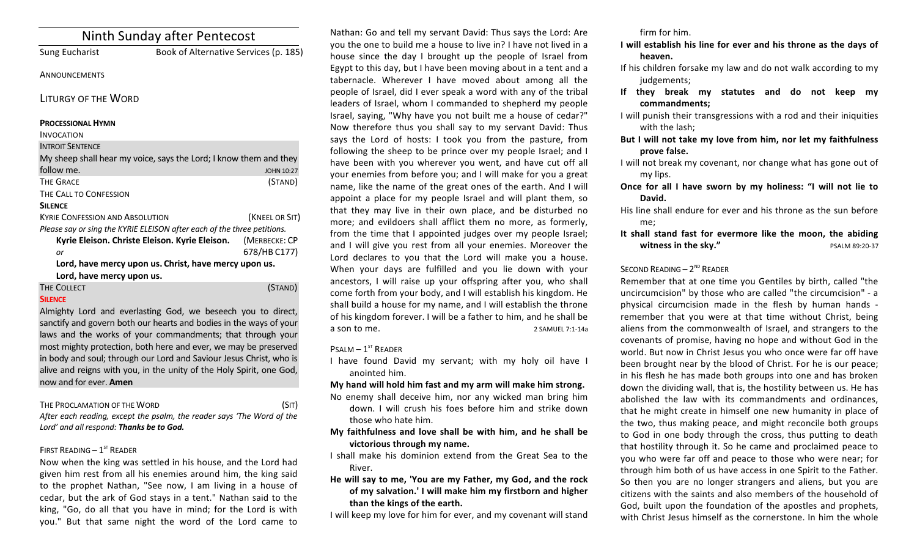| Ninth Sunday after Pentecost                                            |                                       |                   |
|-------------------------------------------------------------------------|---------------------------------------|-------------------|
| <b>Sung Eucharist</b>                                                   | Book of Alternative Services (p. 185) |                   |
| ANNOUNCEMENTS                                                           |                                       |                   |
| <b>LITURGY OF THE WORD</b>                                              |                                       |                   |
| <b>PROCESSIONAL HYMN</b>                                                |                                       |                   |
| <b>INVOCATION</b>                                                       |                                       |                   |
| <b>INTROIT SENTENCE</b>                                                 |                                       |                   |
| My sheep shall hear my voice, says the Lord; I know them and they       |                                       |                   |
| follow me.                                                              |                                       | <b>JOHN 10:27</b> |
| <b>THE GRACE</b>                                                        |                                       | (STAND)           |
| THE CALL TO CONFESSION                                                  |                                       |                   |
| <b>SILENCE</b>                                                          |                                       |                   |
| <b>KYRIE CONFESSION AND ABSOLUTION</b>                                  |                                       | (KNEEL OR SIT)    |
| Please say or sing the KYRIE ELEISON after each of the three petitions. |                                       |                   |
| Kyrie Eleison. Christe Eleison. Kyrie Eleison.                          |                                       | (MERBECKE: CP     |
| or                                                                      |                                       | 678/HB C177)      |
| Lord, have mercy upon us. Christ, have mercy upon us.                   |                                       |                   |
| Lord, have mercy upon us.                                               |                                       |                   |
| THE COLLECT                                                             |                                       | (STAND)           |
| <b>SILENCE</b>                                                          |                                       |                   |
| Almighty Lord and everlasting God, we beseech you to direct,            |                                       |                   |

sanctify and govern both our hearts and bodies in the ways of your laws and the works of your commandments; that through your most mighty protection, both here and ever, we may be preserved in body and soul; through our Lord and Saviour Jesus Christ, who is alive and reigns with you, in the unity of the Holy Spirit, one God, now and for ever. **Amen**

THE PROCLAMATION OF THE WORD (SIT)

After each reading, except the psalm, the reader says 'The Word of the Lord' and all respond: Thanks be to God.

# FIRST READING  $-1<sup>ST</sup>$  READER

Now when the king was settled in his house, and the Lord had given him rest from all his enemies around him, the king said to the prophet Nathan, "See now, I am living in a house of cedar, but the ark of God stays in a tent." Nathan said to the king, "Go, do all that you have in mind; for the Lord is with you." But that same night the word of the Lord came to

Nathan: Go and tell my servant David: Thus says the Lord: Are you the one to build me a house to live in? I have not lived in a house since the day I brought up the people of Israel from Egypt to this day, but I have been moving about in a tent and a tabernacle. Wherever I have moved about among all the people of Israel, did I ever speak a word with any of the tribal leaders of Israel, whom I commanded to shepherd my people Israel, saying, "Why have you not built me a house of cedar?" Now therefore thus you shall say to my servant David: Thus says the Lord of hosts: I took you from the pasture, from following the sheep to be prince over my people Israel; and I have been with you wherever you went, and have cut off all your enemies from before you; and I will make for you a great name, like the name of the great ones of the earth. And I will appoint a place for my people Israel and will plant them, so that they may live in their own place, and be disturbed no more; and evildoers shall afflict them no more, as formerly, from the time that I appointed judges over my people Israel; and I will give you rest from all your enemies. Moreover the Lord declares to you that the Lord will make you a house. When your days are fulfilled and you lie down with your ancestors, I will raise up your offspring after you, who shall come forth from your body, and I will establish his kingdom. He shall build a house for my name, and I will establish the throne of his kingdom forever. I will be a father to him, and he shall be a son to me. 2 SAMUEL 7:1-14a

## $P$ SALM  $-1$ <sup>ST</sup> READER

I have found David my servant; with my holy oil have I anointed him. 

## My hand will hold him fast and my arm will make him strong.

No enemy shall deceive him, nor any wicked man bring him down. I will crush his foes before him and strike down those who hate him.

- My faithfulness and love shall be with him, and he shall be victorious through my name.
- I shall make his dominion extend from the Great Sea to the River.
- He will say to me, 'You are my Father, my God, and the rock of my salvation.' I will make him my firstborn and higher than the kings of the earth.
- I will keep my love for him for ever, and my covenant will stand

firm for him.

- **I** will establish his line for ever and his throne as the days of heaven.
- If his children forsake my law and do not walk according to my judgements;
- If they break my statutes and do not keep my **commandments;**
- I will punish their transgressions with a rod and their iniquities with the lash:
- But I will not take my love from him, nor let my faithfulness **prove false.**
- I will not break my covenant, nor change what has gone out of my lips.
- **Once for all I have sworn by my holiness: "I will not lie to** David.
- His line shall endure for ever and his throne as the sun before me;
- It shall stand fast for evermore like the moon, the abiding **witness in the sky."** PSALM 89:20-37

# SECOND READING  $- 2<sup>ND</sup>$  READER

Remember that at one time you Gentiles by birth, called "the uncircumcision" by those who are called "the circumcision" - a physical circumcision made in the flesh by human hands remember that you were at that time without Christ, being aliens from the commonwealth of Israel, and strangers to the covenants of promise, having no hope and without God in the world. But now in Christ Jesus you who once were far off have been brought near by the blood of Christ. For he is our peace; in his flesh he has made both groups into one and has broken down the dividing wall, that is, the hostility between us. He has abolished the law with its commandments and ordinances, that he might create in himself one new humanity in place of the two, thus making peace, and might reconcile both groups to God in one body through the cross, thus putting to death that hostility through it. So he came and proclaimed peace to you who were far off and peace to those who were near; for through him both of us have access in one Spirit to the Father. So then you are no longer strangers and aliens, but you are citizens with the saints and also members of the household of God, built upon the foundation of the apostles and prophets, with Christ Jesus himself as the cornerstone. In him the whole